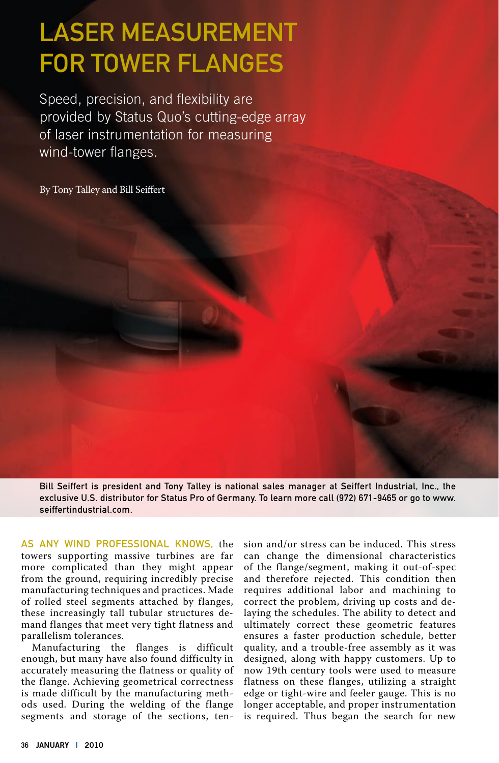# Laser Measurement for Tower Flanges

Speed, precision, and flexibility are provided by Status Quo's cutting-edge array of laser instrumentation for measuring wind-tower flanges.

By Tony Talley and Bill Seiffert

Bill Seiffert is president and Tony Talley is national sales manager at Seiffert Industrial, Inc., the exclusive U.S. distributor for Status Pro of Germany. To learn more call (972) 671-9465 or go to www. seiffertindustrial.com.

As any wind professional knows, the towers supporting massive turbines are far more complicated than they might appear from the ground, requiring incredibly precise manufacturing techniques and practices. Made of rolled steel segments attached by flanges, these increasingly tall tubular structures demand flanges that meet very tight flatness and parallelism tolerances.

Manufacturing the flanges is difficult enough, but many have also found difficulty in accurately measuring the flatness or quality of the flange. Achieving geometrical correctness is made difficult by the manufacturing methods used. During the welding of the flange segments and storage of the sections, ten-

sion and/or stress can be induced. This stress can change the dimensional characteristics of the flange/segment, making it out-of-spec and therefore rejected. This condition then requires additional labor and machining to correct the problem, driving up costs and delaying the schedules. The ability to detect and ultimately correct these geometric features ensures a faster production schedule, better quality, and a trouble-free assembly as it was designed, along with happy customers. Up to now 19th century tools were used to measure flatness on these flanges, utilizing a straight edge or tight-wire and feeler gauge. This is no longer acceptable, and proper instrumentation is required. Thus began the search for new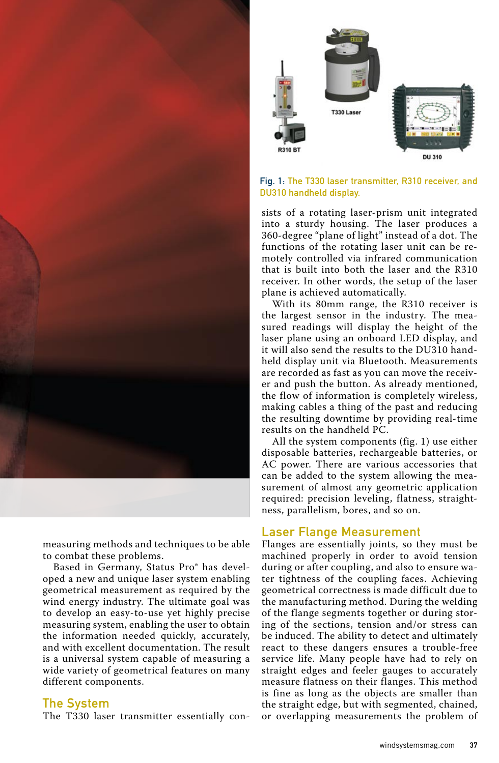

measuring methods and techniques to be able to combat these problems.

Based in Germany, Status Pro® has developed a new and unique laser system enabling geometrical measurement as required by the wind energy industry. The ultimate goal was to develop an easy-to-use yet highly precise measuring system, enabling the user to obtain the information needed quickly, accurately, and with excellent documentation. The result is a universal system capable of measuring a wide variety of geometrical features on many different components.

#### The System

The T330 laser transmitter essentially con-



#### Fig. 1: The T330 laser transmitter, R310 receiver, and DU310 handheld display.

sists of a rotating laser-prism unit integrated into a sturdy housing. The laser produces a 360-degree "plane of light" instead of a dot. The functions of the rotating laser unit can be remotely controlled via infrared communication that is built into both the laser and the R310 receiver. In other words, the setup of the laser plane is achieved automatically.

With its 80mm range, the R310 receiver is the largest sensor in the industry. The measured readings will display the height of the laser plane using an onboard LED display, and it will also send the results to the DU310 handheld display unit via Bluetooth. Measurements are recorded as fast as you can move the receiver and push the button. As already mentioned, the flow of information is completely wireless, making cables a thing of the past and reducing the resulting downtime by providing real-time results on the handheld PC.

All the system components (fig. 1) use either disposable batteries, rechargeable batteries, or AC power. There are various accessories that can be added to the system allowing the measurement of almost any geometric application required: precision leveling, flatness, straightness, parallelism, bores, and so on.

#### Laser Flange Measurement

Flanges are essentially joints, so they must be machined properly in order to avoid tension during or after coupling, and also to ensure water tightness of the coupling faces. Achieving geometrical correctness is made difficult due to the manufacturing method. During the welding of the flange segments together or during storing of the sections, tension and/or stress can be induced. The ability to detect and ultimately react to these dangers ensures a trouble-free service life. Many people have had to rely on straight edges and feeler gauges to accurately measure flatness on their flanges. This method is fine as long as the objects are smaller than the straight edge, but with segmented, chained, or overlapping measurements the problem of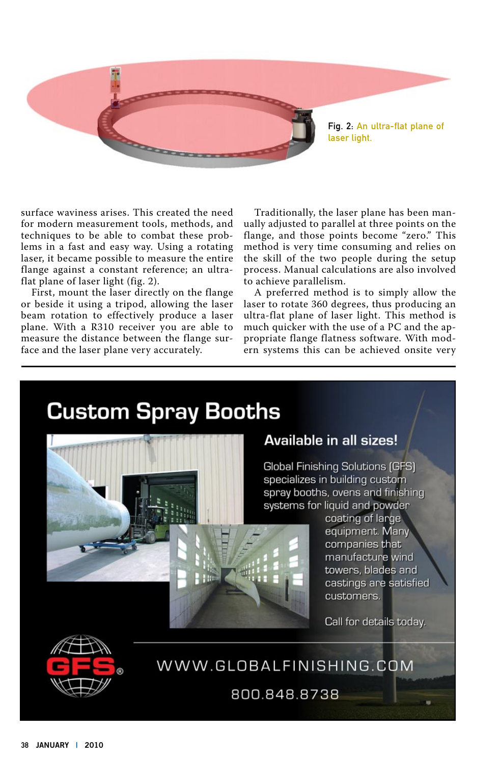

surface waviness arises. This created the need for modern measurement tools, methods, and techniques to be able to combat these problems in a fast and easy way. Using a rotating laser, it became possible to measure the entire flange against a constant reference; an ultraflat plane of laser light (fig. 2).

First, mount the laser directly on the flange or beside it using a tripod, allowing the laser beam rotation to effectively produce a laser plane. With a R310 receiver you are able to measure the distance between the flange surface and the laser plane very accurately.

Traditionally, the laser plane has been manually adjusted to parallel at three points on the flange, and those points become "zero." This method is very time consuming and relies on the skill of the two people during the setup process. Manual calculations are also involved to achieve parallelism.

A preferred method is to simply allow the laser to rotate 360 degrees, thus producing an ultra-flat plane of laser light. This method is much quicker with the use of a PC and the appropriate flange flatness software. With modern systems this can be achieved onsite very





### **Available in all sizes!**

**Global Finishing Solutions (GFS)** specializes in building custom spray booths, ovens and finishing systems for liquid and powder

coating of large equipment. Many companies that manufacture wind towers, blades and castings are satisfied customers.

Call for details today.

WWW.GLOBALFINISHING.COM

800.848.8738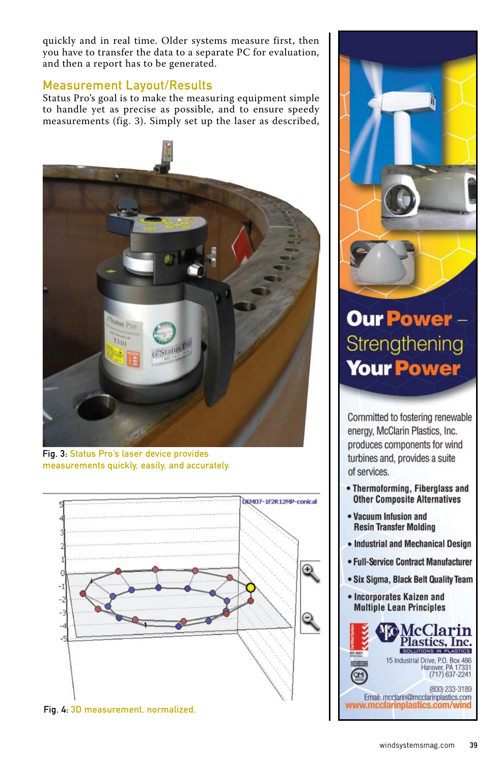quickly and in real time. Older systems measure first, then you have to transfer the data to a separate PC for evaluation, and then a report has to be generated.

#### Measurement Layout/Results

Status Pro's goal is to make the measuring equipment simple to handle yet as precise as possible, and to ensure speedy measurements (fig. 3). Simply set up the laser as described,



Fig. 3: Status Pro's laser device provides measurements quickly, easily, and accurately.







## **Our Power -**Strengthening **Your Power**

Committed to fostering renewable energy, McClarin Plastics, Inc. produces components for wind turbines and, provides a suite of services.

- Thermoforming, Fiberglass and **Other Composite Alternatives**
- Vacuum Infusion and **Resin Transfer Molding**
- Industrial and Mechanical Design
- Full-Service Contract Manufacturer
- Six Sigma, Black Belt Quality Team
- Incorporates Kaizen and **Multiple Lean Principles**

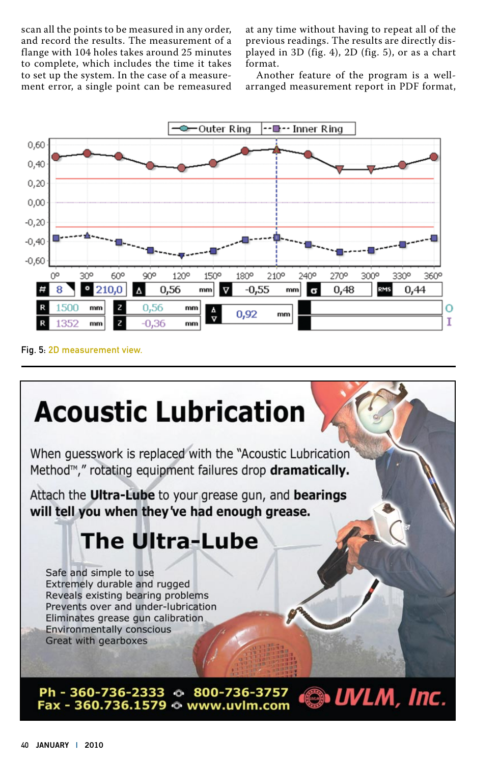scan all the points to be measured in any order, and record the results. The measurement of a flange with 104 holes takes around 25 minutes to complete, which includes the time it takes to set up the system. In the case of a measurement error, a single point can be remeasured

at any time without having to repeat all of the previous readings. The results are directly displayed in 3D (fig. 4), 2D (fig. 5), or as a chart format.

Another feature of the program is a wellarranged measurement report in PDF format,



Fig. 5: 2D measurement view.

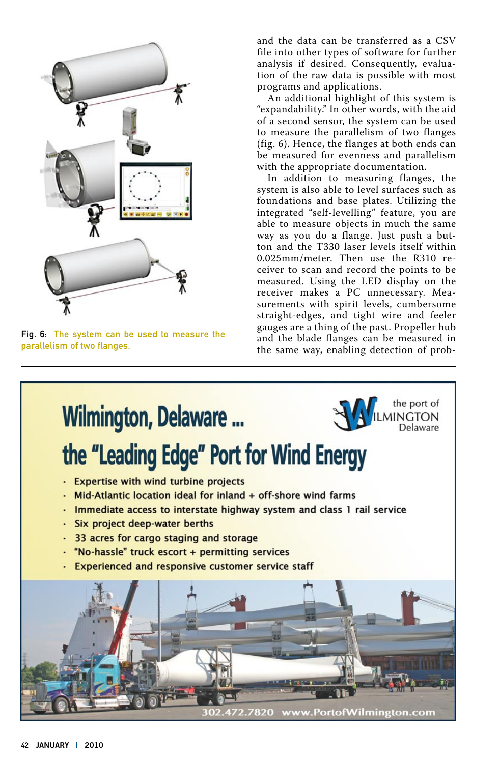

Fig. 6: The system can be used to measure the parallelism of two flanges.

and the data can be transferred as a CSV file into other types of software for further analysis if desired. Consequently, evaluation of the raw data is possible with most programs and applications.

An additional highlight of this system is "expandability." In other words, with the aid of a second sensor, the system can be used to measure the parallelism of two flanges (fig. 6). Hence, the flanges at both ends can be measured for evenness and parallelism with the appropriate documentation.

In addition to measuring flanges, the system is also able to level surfaces such as foundations and base plates. Utilizing the integrated "self-levelling" feature, you are able to measure objects in much the same way as you do a flange. Just push a button and the T330 laser levels itself within 0.025mm/meter. Then use the R310 receiver to scan and record the points to be measured. Using the LED display on the receiver makes a PC unnecessary. Measurements with spirit levels, cumbersome straight-edges, and tight wire and feeler gauges are a thing of the past. Propeller hub and the blade flanges can be measured in the same way, enabling detection of prob-